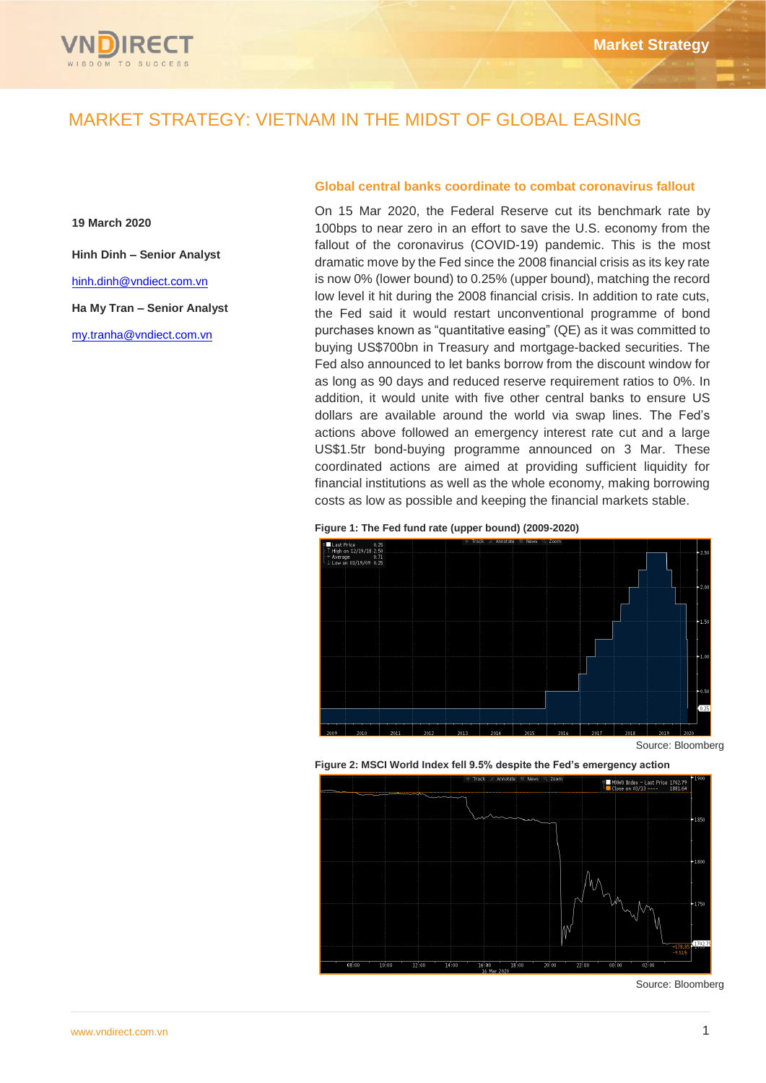

**19 March 2020**

**Hinh Dinh – Senior Analyst**

[hinh.dinh@vndiect.com.vn](mailto:hinh.dinh@vndiect.com.vn)

**Ha My Tran – Senior Analyst** 

[my.tranha@vndiect.com.vn](mailto:my.tranha@vndiect.com.vn)

## **Global central banks coordinate to combat coronavirus fallout**

On 15 Mar 2020, the Federal Reserve cut its benchmark rate by 100bps to near zero in an effort to save the U.S. economy from the fallout of the coronavirus (COVID-19) pandemic. This is the most dramatic move by the Fed since the 2008 financial crisis as its key rate is now 0% (lower bound) to 0.25% (upper bound), matching the record low level it hit during the 2008 financial crisis. In addition to rate cuts, the Fed said it would restart unconventional programme of bond purchases known as "quantitative easing" (QE) as it was committed to buying US\$700bn in Treasury and mortgage-backed securities. The Fed also announced to let banks borrow from the discount window for as long as 90 days and reduced reserve requirement ratios to 0%. In addition, it would unite with five other central banks to ensure US dollars are available around the world via swap lines. The Fed's actions above followed an emergency interest rate cut and a large US\$1.5tr bond-buying programme announced on 3 Mar. These coordinated actions are aimed at providing sufficient liquidity for financial institutions as well as the whole economy, making borrowing costs as low as possible and keeping the financial markets stable.





Source: Bloomberg





Source: Bloomberg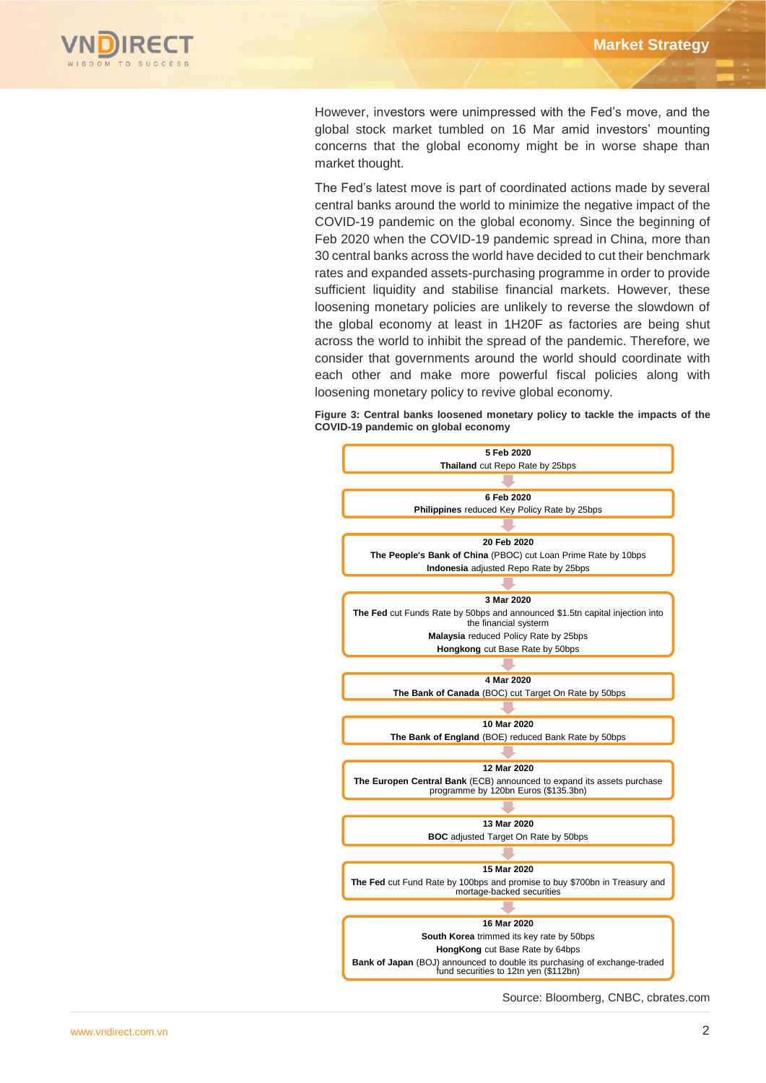

However, investors were unimpressed with the Fed's move, and the global stock market tumbled on 16 Mar amid investors' mounting concerns that the global economy might be in worse shape than market thought.

The Fed's latest move is part of coordinated actions made by several central banks around the world to minimize the negative impact of the COVID-19 pandemic on the global economy. Since the beginning of Feb 2020 when the COVID-19 pandemic spread in China, more than 30 central banks across the world have decided to cut their benchmark rates and expanded assets-purchasing programme in order to provide sufficient liquidity and stabilise financial markets. However, these loosening monetary policies are unlikely to reverse the slowdown of the global economy at least in 1H20F as factories are being shut across the world to inhibit the spread of the pandemic. Therefore, we consider that governments around the world should coordinate with each other and make more powerful fiscal policies along with loosening monetary policy to revive global economy.

**Figure 3: Central banks loosened monetary policy to tackle the impacts of the COVID-19 pandemic on global economy** 



Source: Bloomberg, CNBC, cbrates.com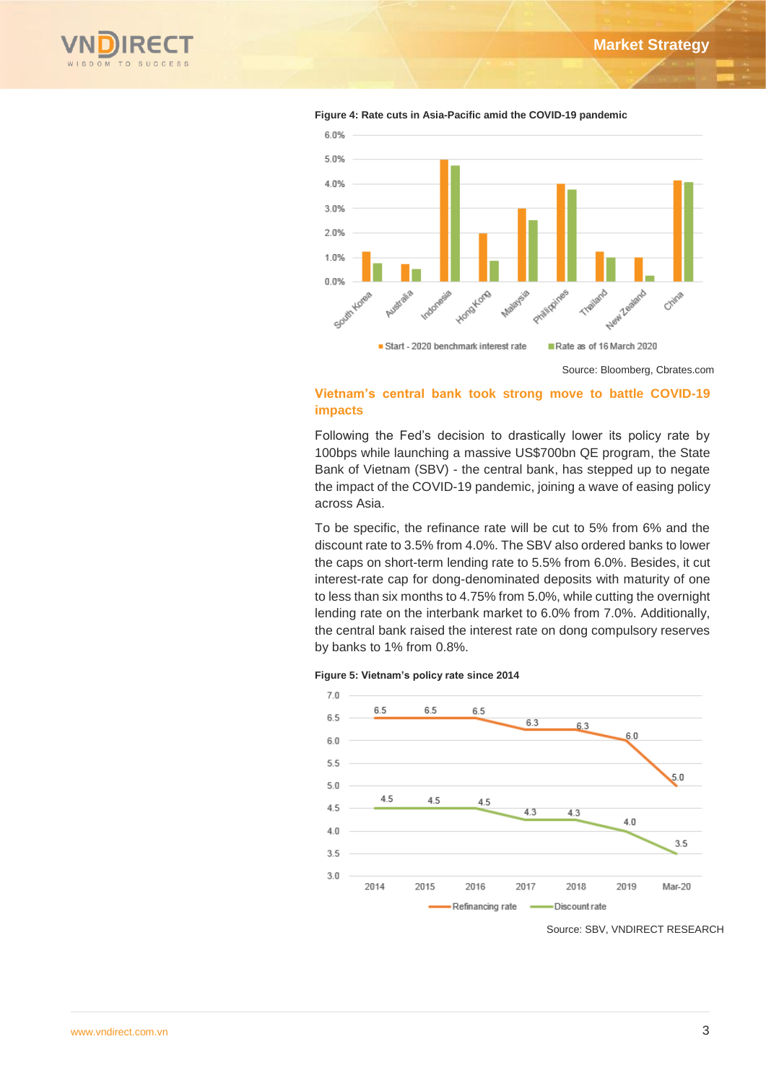



**Figure 4: Rate cuts in Asia-Pacific amid the COVID-19 pandemic** 

# **Vietnam's central bank took strong move to battle COVID-19 impacts**

Following the Fed's decision to drastically lower its policy rate by 100bps while launching a massive US\$700bn QE program, the State Bank of Vietnam (SBV) - the central bank, has stepped up to negate the impact of the COVID-19 pandemic, joining a wave of easing policy across Asia.

To be specific, the refinance rate will be cut to 5% from 6% and the discount rate to 3.5% from 4.0%. The SBV also ordered banks to lower the caps on short-term lending rate to 5.5% from 6.0%. Besides, it cut interest-rate cap for dong-denominated deposits with maturity of one to less than six months to 4.75% from 5.0%, while cutting the overnight lending rate on the interbank market to 6.0% from 7.0%. Additionally, the central bank raised the interest rate on dong compulsory reserves by banks to 1% from 0.8%.

**Figure 5: Vietnam's policy rate since 2014**



Source: SBV, VNDIRECT RESEARCH

Source: Bloomberg, Cbrates.com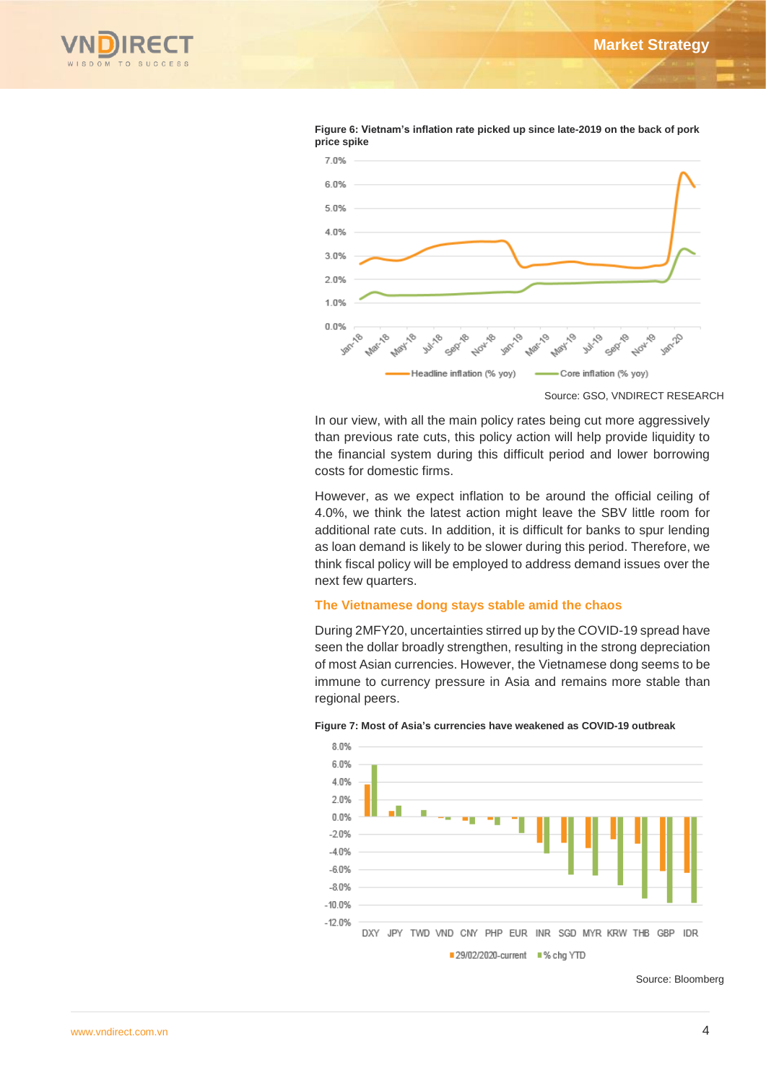



**Figure 6: Vietnam's inflation rate picked up since late-2019 on the back of pork price spike**

In our view, with all the main policy rates being cut more aggressively than previous rate cuts, this policy action will help provide liquidity to the financial system during this difficult period and lower borrowing costs for domestic firms.

However, as we expect inflation to be around the official ceiling of 4.0%, we think the latest action might leave the SBV little room for additional rate cuts. In addition, it is difficult for banks to spur lending as loan demand is likely to be slower during this period. Therefore, we think fiscal policy will be employed to address demand issues over the next few quarters.

### **The Vietnamese dong stays stable amid the chaos**

During 2MFY20, uncertainties stirred up by the COVID-19 spread have seen the dollar broadly strengthen, resulting in the strong depreciation of most Asian currencies. However, the Vietnamese dong seems to be immune to currency pressure in Asia and remains more stable than regional peers.



#### **Figure 7: Most of Asia's currencies have weakened as COVID-19 outbreak**

Source: Bloomberg

Source: GSO, VNDIRECT RESEARCH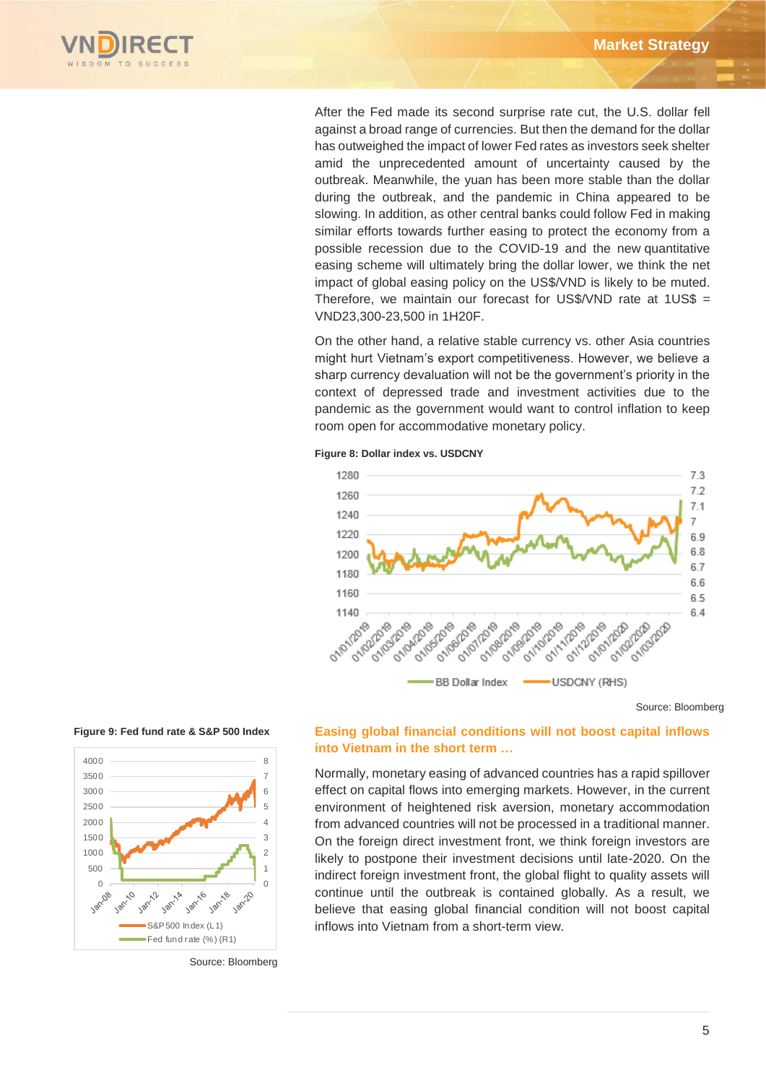

After the Fed made its second surprise rate cut, the U.S. dollar fell against a broad range of currencies. But then the demand for the dollar has outweighed the impact of lower Fed rates as investors seek shelter amid the unprecedented amount of uncertainty caused by the outbreak. Meanwhile, the yuan has been more stable than the dollar during the outbreak, and the pandemic in China appeared to be slowing. In addition, as other central banks could follow Fed in making similar efforts towards further easing to protect the economy from a possible recession due to the COVID-19 and the new quantitative easing scheme will ultimately bring the dollar lower, we think the net impact of global easing policy on the US\$/VND is likely to be muted. Therefore, we maintain our forecast for US\$/VND rate at  $1US\$  = VND23,300-23,500 in 1H20F.

On the other hand, a relative stable currency vs. other Asia countries might hurt Vietnam's export competitiveness. However, we believe a sharp currency devaluation will not be the government's priority in the context of depressed trade and investment activities due to the pandemic as the government would want to control inflation to keep room open for accommodative monetary policy.

**Figure 8: Dollar index vs. USDCNY**



Source: Bloomberg



#### **Figure 9: Fed fund rate & S&P 500 Index**

# **into Vietnam in the short term …** Normally, monetary easing of advanced countries has a rapid spillover

**Easing global financial conditions will not boost capital inflows** 

effect on capital flows into emerging markets. However, in the current environment of heightened risk aversion, monetary accommodation from advanced countries will not be processed in a traditional manner. On the foreign direct investment front, we think foreign investors are likely to postpone their investment decisions until late-2020. On the indirect foreign investment front, the global flight to quality assets will continue until the outbreak is contained globally. As a result, we believe that easing global financial condition will not boost capital inflows into Vietnam from a short-term view.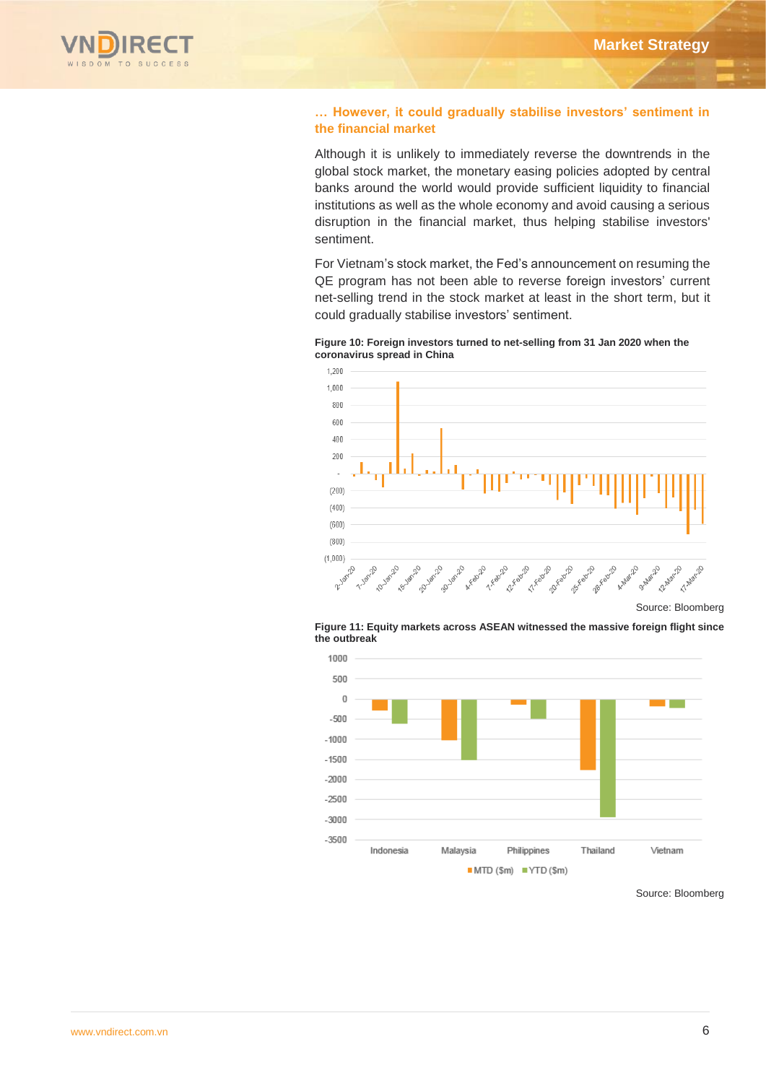

# **… However, it could gradually stabilise investors' sentiment in the financial market**

Although it is unlikely to immediately reverse the downtrends in the global stock market, the monetary easing policies adopted by central banks around the world would provide sufficient liquidity to financial institutions as well as the whole economy and avoid causing a serious disruption in the financial market, thus helping stabilise investors' sentiment.

For Vietnam's stock market, the Fed's announcement on resuming the QE program has not been able to reverse foreign investors' current net-selling trend in the stock market at least in the short term, but it could gradually stabilise investors' sentiment.

**Figure 10: Foreign investors turned to net-selling from 31 Jan 2020 when the coronavirus spread in China** 



Source: Bloomberg



**Figure 11: Equity markets across ASEAN witnessed the massive foreign flight since the outbreak** 

Source: Bloomberg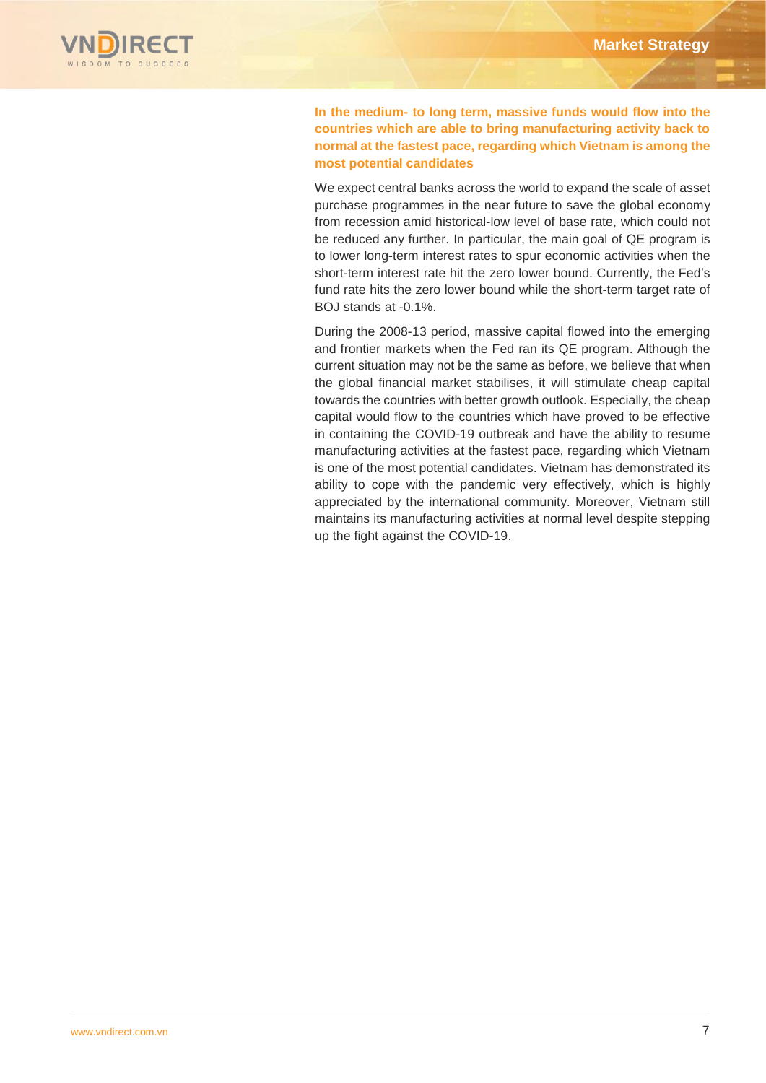

**In the medium- to long term, massive funds would flow into the countries which are able to bring manufacturing activity back to normal at the fastest pace, regarding which Vietnam is among the most potential candidates**

We expect central banks across the world to expand the scale of asset purchase programmes in the near future to save the global economy from recession amid historical-low level of base rate, which could not be reduced any further. In particular, the main goal of QE program is to lower long-term interest rates to spur economic activities when the short-term interest rate hit the zero lower bound. Currently, the Fed's fund rate hits the zero lower bound while the short-term target rate of BOJ stands at -0.1%.

During the 2008-13 period, massive capital flowed into the emerging and frontier markets when the Fed ran its QE program. Although the current situation may not be the same as before, we believe that when the global financial market stabilises, it will stimulate cheap capital towards the countries with better growth outlook. Especially, the cheap capital would flow to the countries which have proved to be effective in containing the COVID-19 outbreak and have the ability to resume manufacturing activities at the fastest pace, regarding which Vietnam is one of the most potential candidates. Vietnam has demonstrated its ability to cope with the pandemic very effectively, which is highly appreciated by the international community. Moreover, Vietnam still maintains its manufacturing activities at normal level despite stepping up the fight against the COVID-19.